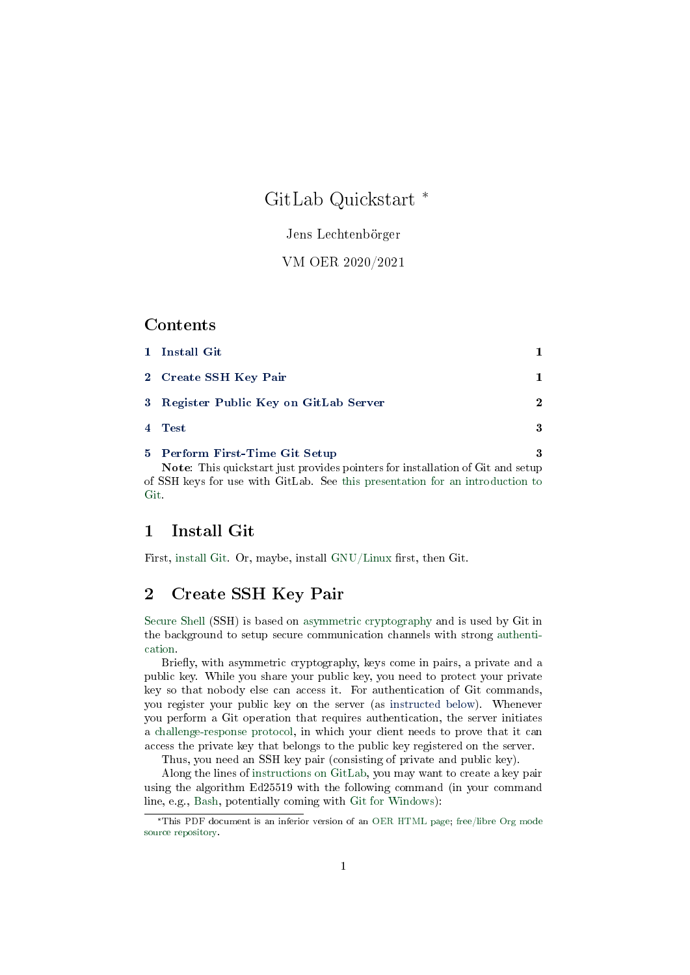# GitLab Quickstart \*

### Jens Lechtenbörger

### VM OER 2020/2021

## Contents

| $\mathbf{1}$   | Install Git                                                                           |             |
|----------------|---------------------------------------------------------------------------------------|-------------|
|                | 2 Create SSH Key Pair                                                                 |             |
|                | 3 Register Public Key on GitLab Server                                                | $\mathbf 2$ |
| $\overline{4}$ | <b>Test</b>                                                                           | 3           |
|                | 5 Perform First-Time Git Setup                                                        | 3           |
|                | <b>Note:</b> This quickstart just provides pointers for installation of Git and setup |             |
|                | of SSH keys for use with GitLab. See this presentation for an introduction to         |             |

## <span id="page-0-0"></span>1 Install Git

[Git.](../03-Git-Introduction.org)

First, [install Git.](https://git-scm.com/book/en/v2/Getting-Started-Installing-Git) Or, maybe, install [GNU/Linux](https://www.getgnulinux.org/) first, then Git.

# <span id="page-0-1"></span>2 Create SSH Key Pair

[Secure Shell](https://en.wikipedia.org/wiki/Secure_Shell) (SSH) is based on [asymmetric cryptography](https://oer.gitlab.io/OS/Operating-Systems-Security.html#slide-asym-intuition) and is used by Git in the background to setup secure communication channels with strong [authenti](https://oer.gitlab.io/OS/Operating-Systems-Security.html#slide-security-services-2)[cation.](https://oer.gitlab.io/OS/Operating-Systems-Security.html#slide-security-services-2)

Briefly, with asymmetric cryptography, keys come in pairs, a private and a public key. While you share your public key, you need to protect your private key so that nobody else can access it. For authentication of Git commands, you register your public key on the server (as [instructed below\)](#page-1-0). Whenever you perform a Git operation that requires authentication, the server initiates a [challenge-response protocol,](https://en.wikipedia.org/wiki/Challenge%E2%80%93response_authentication) in which your client needs to prove that it can access the private key that belongs to the public key registered on the server.

Thus, you need an SSH key pair (consisting of private and public key).

Along the lines of [instructions on GitLab,](https://docs.gitlab.com/ce/ssh/README.html) you may want to create a key pair using the algorithm Ed25519 with the following command (in your command line, e.g., [Bash,](https://oer.gitlab.io/OS/Operating-Systems-Introduction.html#slide-bash-access) potentially coming with [Git for Windows\)](https://gitforwindows.org/):

<sup>\*</sup>This PDF document is an inferior version of an [OER HTML page;](https://oer.gitlab.io/oer-courses/vm-oer/texts/GitLab-Quickstart.html) [free/libre Org mode](https://gitlab.com/oer/oer-courses/vm-oer) [source repository.](https://gitlab.com/oer/oer-courses/vm-oer)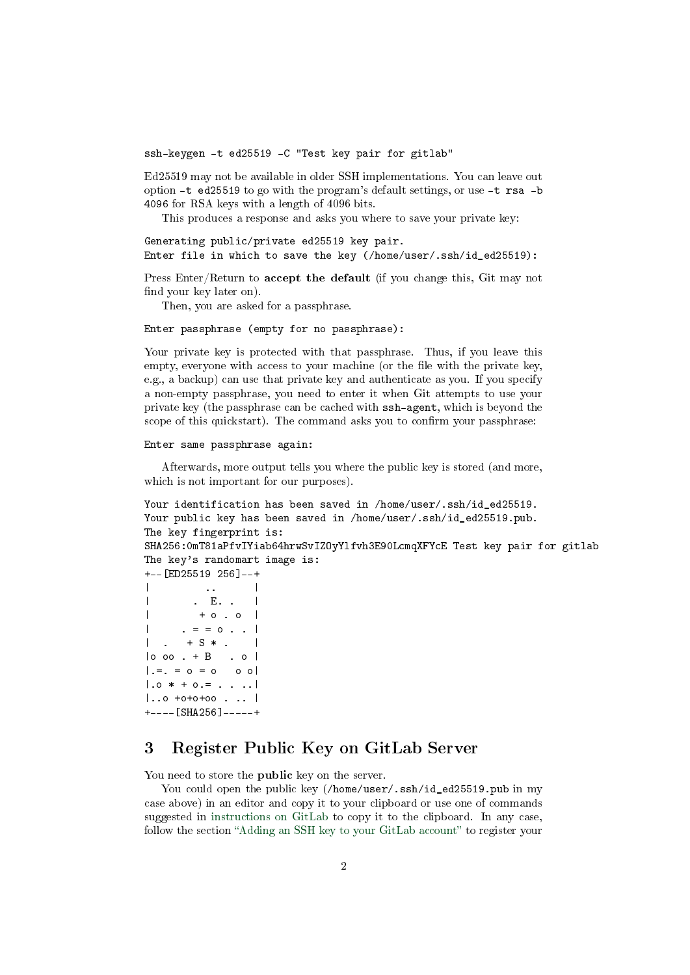ssh-keygen -t ed25519 -C "Test key pair for gitlab"

Ed25519 may not be available in older SSH implementations. You can leave out option -t ed25519 to go with the program's default settings, or use -t rsa -b 4096 for RSA keys with a length of 4096 bits.

This produces a response and asks you where to save your private key:

```
Generating public/private ed25519 key pair.
Enter file in which to save the key (/home/user/.ssh/id_ed25519):
```
Press Enter/Return to accept the default (if you change this, Git may not find your key later on).

Then, you are asked for a passphrase.

#### Enter passphrase (empty for no passphrase):

Your private key is protected with that passphrase. Thus, if you leave this empty, everyone with access to your machine (or the file with the private key, e.g., a backup) can use that private key and authenticate as you. If you specify a non-empty passphrase, you need to enter it when Git attempts to use your private key (the passphrase can be cached with ssh-agent, which is beyond the scope of this quickstart). The command asks you to confirm your passphrase:

#### Enter same passphrase again:

Afterwards, more output tells you where the public key is stored (and more, which is not important for our purposes).

```
Your identification has been saved in /home/user/.ssh/id ed25519.
Your public key has been saved in /home/user/.ssh/id_ed25519.pub.
The key fingerprint is:
SHA256:0mT81aPfvIYiab64hrwSvIZOyYlfvh3E90LcmqXFYcE Test key pair for gitlab
The key's randomart image is:
+--[ED25519 256]--+
\| . \|| . E. . |
\vert + o . o \vert| . = = o . . |
\vert . + S * . \vert|o oo . + B . o |
| . = . = 0 = 0 0 0 || .0 * + 0. = . . . . . ||...o +o+o+oo . .. |+----[SHA256]-----+
```
# <span id="page-1-0"></span>3 Register Public Key on GitLab Server

You need to store the **public** key on the server.

You could open the public key (/home/user/.ssh/id\_ed25519.pub in my case above) in an editor and copy it to your clipboard or use one of commands suggested in [instructions on GitLab](https://docs.gitlab.com/ce/ssh/README.html#adding-an-ssh-key-to-your-gitlab-account) to copy it to the clipboard. In any case, follow the section "[Adding an SSH key to your GitLab account](https://docs.gitlab.com/ce/ssh/README.html#adding-an-ssh-key-to-your-gitlab-account)" to register your